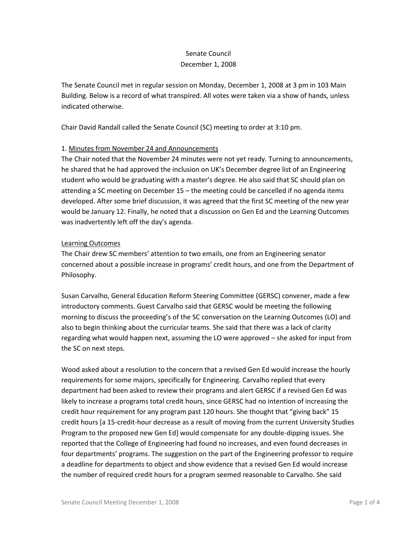## Senate Council December 1, 2008

The Senate Council met in regular session on Monday, December 1, 2008 at 3 pm in 103 Main Building. Below is a record of what transpired. All votes were taken via a show of hands, unless indicated otherwise.

Chair David Randall called the Senate Council (SC) meeting to order at 3:10 pm.

## 1. Minutes from November 24 and Announcements

The Chair noted that the November 24 minutes were not yet ready. Turning to announcements, he shared that he had approved the inclusion on UK's December degree list of an Engineering student who would be graduating with a master's degree. He also said that SC should plan on attending a SC meeting on December 15 – the meeting could be cancelled if no agenda items developed. After some brief discussion, it was agreed that the first SC meeting of the new year would be January 12. Finally, he noted that a discussion on Gen Ed and the Learning Outcomes was inadvertently left off the day's agenda.

## Learning Outcomes

The Chair drew SC members' attention to two emails, one from an Engineering senator concerned about a possible increase in programs' credit hours, and one from the Department of Philosophy.

Susan Carvalho, General Education Reform Steering Committee (GERSC) convener, made a few introductory comments. Guest Carvalho said that GERSC would be meeting the following morning to discuss the proceeding's of the SC conversation on the Learning Outcomes (LO) and also to begin thinking about the curricular teams. She said that there was a lack of clarity regarding what would happen next, assuming the LO were approved – she asked for input from the SC on next steps.

Wood asked about a resolution to the concern that a revised Gen Ed would increase the hourly requirements for some majors, specifically for Engineering. Carvalho replied that every department had been asked to review their programs and alert GERSC if a revised Gen Ed was likely to increase a programs total credit hours, since GERSC had no intention of increasing the credit hour requirement for any program past 120 hours. She thought that "giving back" 15 credit hours [a 15-credit-hour decrease as a result of moving from the current University Studies Program to the proposed new Gen Ed] would compensate for any double-dipping issues. She reported that the College of Engineering had found no increases, and even found decreases in four departments' programs. The suggestion on the part of the Engineering professor to require a deadline for departments to object and show evidence that a revised Gen Ed would increase the number of required credit hours for a program seemed reasonable to Carvalho. She said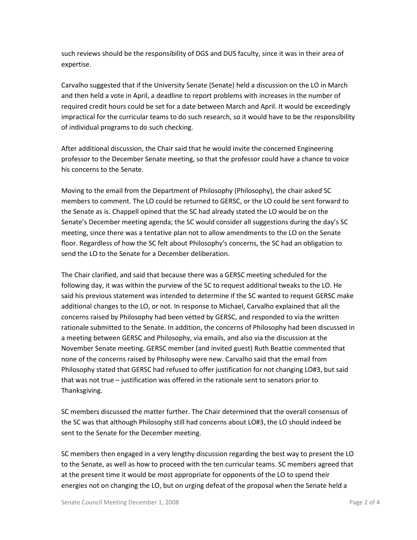such reviews should be the responsibility of DGS and DUS faculty, since it was in their area of expertise.

Carvalho suggested that if the University Senate (Senate) held a discussion on the LO in March and then held a vote in April, a deadline to report problems with increases in the number of required credit hours could be set for a date between March and April. It would be exceedingly impractical for the curricular teams to do such research, so it would have to be the responsibility of individual programs to do such checking.

After additional discussion, the Chair said that he would invite the concerned Engineering professor to the December Senate meeting, so that the professor could have a chance to voice his concerns to the Senate.

Moving to the email from the Department of Philosophy (Philosophy), the chair asked SC members to comment. The LO could be returned to GERSC, or the LO could be sent forward to the Senate as is. Chappell opined that the SC had already stated the LO would be on the Senate's December meeting agenda; the SC would consider all suggestions during the day's SC meeting, since there was a tentative plan not to allow amendments to the LO on the Senate floor. Regardless of how the SC felt about Philosophy's concerns, the SC had an obligation to send the LO to the Senate for a December deliberation.

The Chair clarified, and said that because there was a GERSC meeting scheduled for the following day, it was within the purview of the SC to request additional tweaks to the LO. He said his previous statement was intended to determine if the SC wanted to request GERSC make additional changes to the LO, or not. In response to Michael, Carvalho explained that all the concerns raised by Philosophy had been vetted by GERSC, and responded to via the written rationale submitted to the Senate. In addition, the concerns of Philosophy had been discussed in a meeting between GERSC and Philosophy, via emails, and also via the discussion at the November Senate meeting. GERSC member (and invited guest) Ruth Beattie commented that none of the concerns raised by Philosophy were new. Carvalho said that the email from Philosophy stated that GERSC had refused to offer justification for not changing LO#3, but said that was not true – justification was offered in the rationale sent to senators prior to Thanksgiving.

SC members discussed the matter further. The Chair determined that the overall consensus of the SC was that although Philosophy still had concerns about LO#3, the LO should indeed be sent to the Senate for the December meeting.

SC members then engaged in a very lengthy discussion regarding the best way to present the LO to the Senate, as well as how to proceed with the ten curricular teams. SC members agreed that at the present time it would be most appropriate for opponents of the LO to spend their energies not on changing the LO, but on urging defeat of the proposal when the Senate held a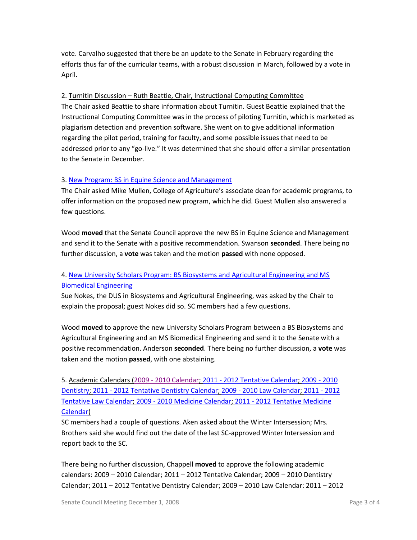vote. Carvalho suggested that there be an update to the Senate in February regarding the efforts thus far of the curricular teams, with a robust discussion in March, followed by a vote in April.

## 2. Turnitin Discussion – Ruth Beattie, Chair, Instructional Computing Committee

The Chair asked Beattie to share information about Turnitin. Guest Beattie explained that the Instructional Computing Committee was in the process of piloting Turnitin, which is marketed as plagiarism detection and prevention software. She went on to give additional information regarding the pilot period, training for faculty, and some possible issues that need to be addressed prior to any "go-live." It was determined that she should offer a similar presentation to the Senate in December.

## 3. [New Program: BS in Equine Science and Management](http://www.uky.edu/USC/New/files/BS%20Equine%20Sci%20&%20Mgmt_Complete.pdf)

The Chair asked Mike Mullen, College of Agriculture's associate dean for academic programs, to offer information on the proposed new program, which he did. Guest Mullen also answered a few questions.

Wood **moved** that the Senate Council approve the new BS in Equine Science and Management and send it to the Senate with a positive recommendation. Swanson **seconded**. There being no further discussion, a **vote** was taken and the motion **passed** with none opposed.

# 4. [New University Scholars Program: BS Biosystems and Agricultural Engineering and MS](http://www.uky.edu/USC/New/files/BS%20BiosysAE-MS%20Biom%20Engr_USP_Complete.pdf)  [Biomedical Engineering](http://www.uky.edu/USC/New/files/BS%20BiosysAE-MS%20Biom%20Engr_USP_Complete.pdf)

Sue Nokes, the DUS in Biosystems and Agricultural Engineering, was asked by the Chair to explain the proposal; guest Nokes did so. SC members had a few questions.

Wood **moved** to approve the new University Scholars Program between a BS Biosystems and Agricultural Engineering and an MS Biomedical Engineering and send it to the Senate with a positive recommendation. Anderson **seconded**. There being no further discussion, a **vote** was taken and the motion **passed**, with one abstaining.

5. Academic Calendars (2009 - [2010 Calendar;](http://www.uky.edu/USC/New/files/2009-2010.pdf) 2011 - [2012 Tentative Calendar;](http://www.uky.edu/USC/New/files/2011-2012%20Tentative.pdf) [2009 -](http://www.uky.edu/USC/New/files/2009-2010%20Dentistry.pdf) 2010 [Dentistry;](http://www.uky.edu/USC/New/files/2009-2010%20Dentistry.pdf) 2011 - [2012 Tentative Dentistry Calendar;](http://www.uky.edu/USC/New/files/2011-2012%20Dentistry%20tentative.pdf) 2009 - [2010 Law Calendar;](http://www.uky.edu/USC/New/files/2009-2010%20Law.pdf) [2011 -](http://www.uky.edu/USC/New/files/2011-2012%20Law%20Tentative.pdf) 2012 [Tentative Law Calendar;](http://www.uky.edu/USC/New/files/2011-2012%20Law%20Tentative.pdf) 2009 - [2010 Medicine Calendar;](http://www.uky.edu/USC/New/files/2009-2010%20Medicine.pdf) 2011 - [2012 Tentative](http://www.uky.edu/USC/New/files/2011-2012%20Medicine%20Tentative.pdf) Medicine [Calendar\)](http://www.uky.edu/USC/New/files/2011-2012%20Medicine%20Tentative.pdf)

SC members had a couple of questions. Aken asked about the Winter Intersession; Mrs. Brothers said she would find out the date of the last SC-approved Winter Intersession and report back to the SC.

There being no further discussion, Chappell **moved** to approve the following academic calendars: 2009 – 2010 Calendar; 2011 – 2012 Tentative Calendar; 2009 – 2010 Dentistry Calendar; 2011 – 2012 Tentative Dentistry Calendar; 2009 – 2010 Law Calendar: 2011 – 2012